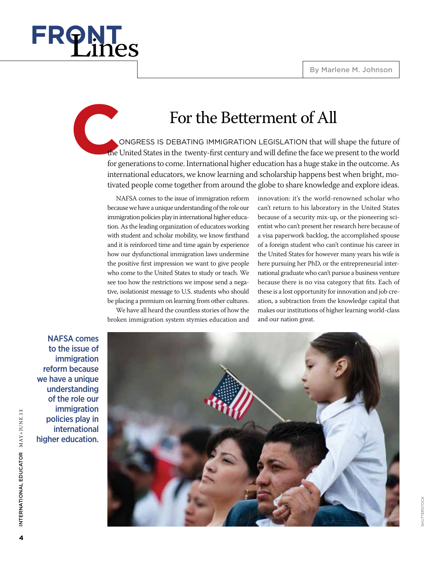

## For the Betterment of All

 ongress is debating immigration legislation that will shape the future of the United States in the twenty-first century and will define the face we present to the world for generations to come. International higher education has a huge stake in the outcome. As international educators, we know learning and scholarship happens best when bright, motivated people come together from around the globe to share knowledge and explore ideas.

NAFSA comes to the issue of immigration reform because we have a unique understanding of the role our immigration policies play in international higher education. As the leading organization of educators working with student and scholar mobility, we know firsthand and it is reinforced time and time again by experience how our dysfunctional immigration laws undermine the positive first impression we want to give people who come to the United States to study or teach. We see too how the restrictions we impose send a negative, isolationist message to U.S. students who should be placing a premium on learning from other cultures.

We have all heard the countless stories of how the broken immigration system stymies education and

innovation: it's the world-renowned scholar who can't return to his laboratory in the United States because of a security mix-up, or the pioneering scientist who can't present her research here because of a visa paperwork backlog, the accomplished spouse of a foreign student who can't continue his career in the United States for however many years his wife is here pursuing her PhD, or the entrepreneurial international graduate who can't pursue a business venture because there is no visa category that fits. Each of these is a lost opportunity for innovation and job creation, a subtraction from the knowledge capital that makes our institutions of higher learning world-class and our nation great.

NAFSA comes to the issue of immigration reform because we have a unique understanding of the role our immigration policies play in international higher education.